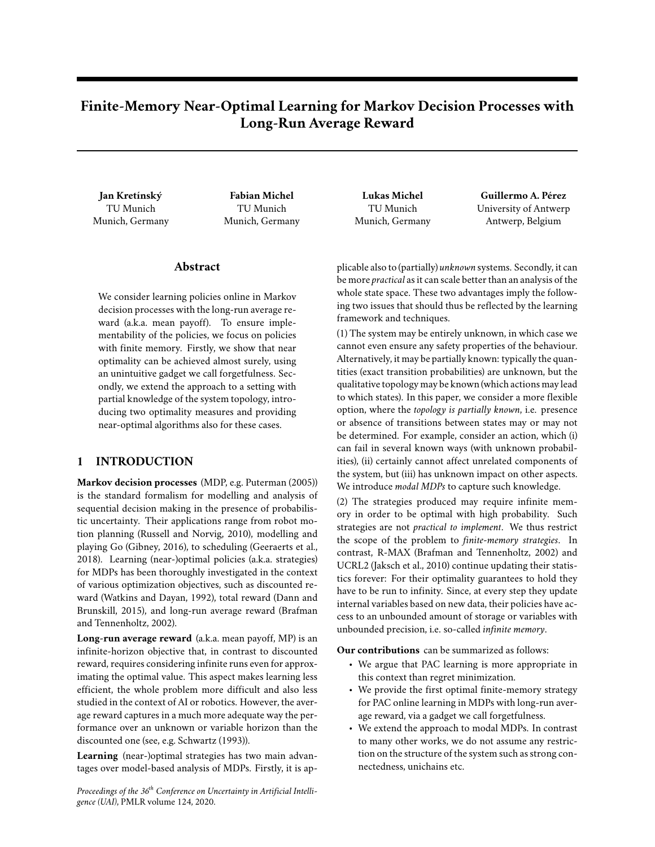# **Finite-Memory Near-Optimal Learning for Markov Decision Processes with Long-Run Average Reward**

**Jan Kretínský** TU Munich Munich, Germany

**Fabian Michel** TU Munich Munich, Germany

# **Abstract**

We consider learning policies online in Markov decision processes with the long-run average reward (a.k.a. mean payoff). To ensure implementability of the policies, we focus on policies with finite memory. Firstly, we show that near optimality can be achieved almost surely, using an unintuitive gadget we call forgetfulness. Secondly, we extend the approach to a setting with partial knowledge of the system topology, introducing two optimality measures and providing near-optimal algorithms also for these cases.

# **1 INTRODUCTION**

**Markov decision processes** (MDP, e.g. Puterman (2005)) is the standard formalism for modelling and analysis of sequential decision making in the presence of probabilistic uncertainty. Their applications range from robot motion planning (Russell and Norvig, 2010), modelling and playing Go (Gibney, 2016), to scheduling (Geeraerts et al., 2018). Learning (near-)optimal policies (a.k.a. strategies) for MDPs has been thoroughly investigated in the context of various optimization objectives, such as discounted reward (Watkins and Dayan, 1992), total reward (Dann and Brunskill, 2015), and long-run average reward (Brafman and Tennenholtz, 2002).

**Long-run average reward** (a.k.a. mean payoff, MP) is an infinite-horizon objective that, in contrast to discounted reward, requires considering infinite runs even for approximating the optimal value. This aspect makes learning less efficient, the whole problem more difficult and also less studied in the context of AI or robotics. However, the average reward captures in a much more adequate way the performance over an unknown or variable horizon than the discounted one (see, e.g. Schwartz (1993)).

**Learning** (near-)optimal strategies has two main advantages over model-based analysis of MDPs. Firstly, it is ap-

*Proceedings of the 36th Conference on Uncertainty in Artificial Intelligence (UAI)*, PMLR volume 124, 2020.

**Lukas Michel** TU Munich Munich, Germany

**Guillermo A. Pérez** University of Antwerp Antwerp, Belgium

plicable also to (partially) *unknown* systems. Secondly, it can be more *practical* as it can scale better than an analysis of the whole state space. These two advantages imply the following two issues that should thus be reflected by the learning framework and techniques.

(1) The system may be entirely unknown, in which case we cannot even ensure any safety properties of the behaviour. Alternatively, it may be partially known: typically the quantities (exact transition probabilities) are unknown, but the qualitative topology may be known (which actions may lead to which states). In this paper, we consider a more flexible option, where the *topology is partially known*, i.e. presence or absence of transitions between states may or may not be determined. For example, consider an action, which (i) can fail in several known ways (with unknown probabilities), (ii) certainly cannot affect unrelated components of the system, but (iii) has unknown impact on other aspects. We introduce *modal MDPs* to capture such knowledge.

(2) The strategies produced may require infinite memory in order to be optimal with high probability. Such strategies are not *practical to implement*. We thus restrict the scope of the problem to *finite-memory strategies*. In contrast, R-MAX (Brafman and Tennenholtz, 2002) and UCRL2 (Jaksch et al., 2010) continue updating their statistics forever: For their optimality guarantees to hold they have to be run to infinity. Since, at every step they update internal variables based on new data, their policies have access to an unbounded amount of storage or variables with unbounded precision, i.e. so-called *infinite memory*.

**Our contributions** can be summarized as follows:

- We argue that PAC learning is more appropriate in this context than regret minimization.
- We provide the first optimal finite-memory strategy for PAC online learning in MDPs with long-run average reward, via a gadget we call forgetfulness.
- We extend the approach to modal MDPs. In contrast to many other works, we do not assume any restriction on the structure of the system such as strong connectedness, unichains etc.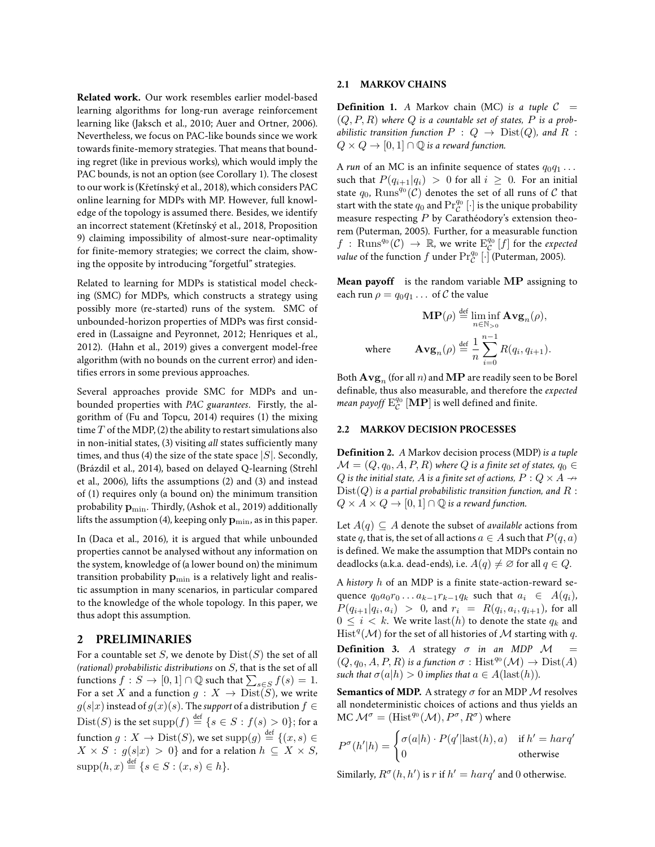**Related work.** Our work resembles earlier model-based learning algorithms for long-run average reinforcement learning like (Jaksch et al., 2010; Auer and Ortner, 2006). Nevertheless, we focus on PAC-like bounds since we work towards finite-memory strategies. That means that bounding regret (like in previous works), which would imply the PAC bounds, is not an option (see Corollary 1). The closest to our work is (Křetínský et al., 2018), which considers PAC online learning for MDPs with MP. However, full knowledge of the topology is assumed there. Besides, we identify an incorrect statement (Křetínský et al., 2018, Proposition 9) claiming impossibility of almost-sure near-optimality for finite-memory strategies; we correct the claim, showing the opposite by introducing "forgetful" strategies.

Related to learning for MDPs is statistical model checking (SMC) for MDPs, which constructs a strategy using possibly more (re-started) runs of the system. SMC of unbounded-horizon properties of MDPs was first considered in (Lassaigne and Peyronnet, 2012; Henriques et al., 2012). (Hahn et al., 2019) gives a convergent model-free algorithm (with no bounds on the current error) and identifies errors in some previous approaches.

Several approaches provide SMC for MDPs and unbounded properties with *PAC guarantees*. Firstly, the algorithm of (Fu and Topcu, 2014) requires (1) the mixing time  $T$  of the MDP, (2) the ability to restart simulations also in non-initial states, (3) visiting *all* states sufficiently many times, and thus (4) the size of the state space  $|S|$ . Secondly, (Brázdil et al., 2014), based on delayed Q-learning (Strehl et al., 2006), lifts the assumptions (2) and (3) and instead of (1) requires only (a bound on) the minimum transition probability  $p_{min}$ . Thirdly, (Ashok et al., 2019) additionally lifts the assumption (4), keeping only  $\mathbf{p}_{\min}$ , as in this paper.

In (Daca et al., 2016), it is argued that while unbounded properties cannot be analysed without any information on the system, knowledge of (a lower bound on) the minimum transition probability  $\mathbf{p}_{\min}$  is a relatively light and realistic assumption in many scenarios, in particular compared to the knowledge of the whole topology. In this paper, we thus adopt this assumption.

#### **2 PRELIMINARIES**

For a countable set S, we denote by  $Dist(S)$  the set of all *(rational) probabilistic distributions* on S, that is the set of all functions  $f: S \to [0,1] \cap \mathbb{Q}$  such that  $\sum_{s \in S} f(s) = 1$ . For a set X and a function  $g: X \to \text{Dist}(\tilde{S})$ , we write  $g(s|x)$  instead of  $g(x)(s)$ . The *support* of a distribution  $f \in$  $\mathrm{Dist}(S)$  is the set  $\mathrm{supp}(f) \stackrel{\text{def}}{=} \{s \in S : f(s) > 0\};$  for a function  $g: X \to \mathrm{Dist}(S)$ , we set  $\mathrm{supp}(g) \stackrel{\text{def}}{=} \{ (x,s) \in$  $X \times S : g(s|x) > 0$ } and for a relation  $h \subseteq X \times S$ ,  $supp(h, x) \stackrel{\text{def}}{=} \{ s \in S : (x, s) \in h \}.$ 

#### **2.1 MARKOV CHAINS**

**Definition 1.** *A* Markov chain (MC) *is a tuple*  $C =$  $(Q, P, R)$  where  $Q$  *is a countable set of states, P is a probabilistic transition function*  $P: Q \rightarrow Dist(Q)$ *, and*  $R:$  $Q \times Q \rightarrow [0,1] \cap \mathbb{Q}$  is a reward function.

A *run* of an MC is an infinite sequence of states  $q_0q_1 \ldots$ such that  $P(q_{i+1}|q_i) > 0$  for all  $i \geq 0$ . For an initial state  $q_0$ ,  $\mathrm{Runs}^{q_0}(\mathcal{C})$  denotes the set of all runs of  $\mathcal C$  that start with the state  $q_0$  and  $\Pr^{q_0}_\mathcal{C}[\cdot]$  is the unique probability measure respecting  $P$  by Carathéodory's extension theorem (Puterman, 2005). Further, for a measurable function  $f$  :  $\mathrm{Runs}^{q_0}(\mathcal{C}) \rightarrow \mathbb{R}$ , we write  $\mathrm{E}^{q_0}_\mathcal{C}\left[f\right]$  for the *expected value* of the function  $f$  under  $\Pr_{\mathcal{C}}^{q_0}$  [ $\cdot$ ] (Puterman, 2005).

**Mean payoff** is the random variable MP assigning to each run  $\rho = q_0 q_1 \dots$  of C the value

$$
\mathbf{MP}(\rho) \stackrel{\text{def}}{=} \liminf_{n \in \mathbb{N}_{>0}} \mathbf{Avg}_n(\rho),
$$
  
where 
$$
\mathbf{Avg}_n(\rho) \stackrel{\text{def}}{=} \frac{1}{n} \sum_{i=0}^{n-1} R(q_i, q_{i+1}).
$$

Both  $\mathbf{Avg}_n$  (for all n) and  $\mathbf{MP}$  are readily seen to be Borel definable, thus also measurable, and therefore the *expected mean payoff*  $\mathrm{E}^{q_0}_{\mathcal{C}}\left[\mathbf{MP}\right]$  is well defined and finite.

## **2.2 MARKOV DECISION PROCESSES**

**Definition 2.** *A* Markov decision process (MDP) *is a tuple*  $\mathcal{M} = (Q, q_0, A, P, R)$  where Q is a finite set of states,  $q_0 \in$  $Q$  *is the initial state, A is a finite set of actions,*  $P: Q \times A \rightarrow$  $Dist(Q)$  is a partial probabilistic transition function, and  $R$ :  $Q \times A \times Q \rightarrow [0,1] \cap \mathbb{Q}$  *is a reward function.* 

Let  $A(q) \subseteq A$  denote the subset of *available* actions from state q, that is, the set of all actions  $a \in A$  such that  $P(q, a)$ is defined. We make the assumption that MDPs contain no deadlocks (a.k.a. dead-ends), i.e.  $A(q) \neq \emptyset$  for all  $q \in Q$ .

A *history* h of an MDP is a finite state-action-reward sequence  $q_0a_0r_0 \dots a_{k-1}r_{k-1}q_k$  such that  $a_i \in A(q_i)$ ,  $P(q_{i+1} | q_i, a_i) > 0$ , and  $r_i = R(q_i, a_i, q_{i+1})$ , for all  $0 \leq i \leq k$ . We write last(h) to denote the state  $q_k$  and  $\mathrm{Hist}^q(\mathcal{M})$  for the set of all histories of  $\mathcal M$  starting with  $q$ .

**Definition 3.** *A* strategy  $\sigma$  *in an MDP M* =  $(Q, q_0, A, P, R)$  *is a function*  $\sigma$  : Hist<sup> $q_0$ </sup> $(\mathcal{M}) \to \text{Dist}(A)$ *such that*  $\sigma(a|h) > 0$  *implies that*  $a \in A(\text{last}(h))$ *.* 

**Semantics of MDP.** A strategy  $\sigma$  for an MDP  $\mathcal M$  resolves all nondeterministic choices of actions and thus yields an MC  $\mathcal{M}^{\sigma} = (\text{Hist}^{q_0}(\mathcal{M}), P^{\sigma}, R^{\sigma})$  where

$$
P^{\sigma}(h'|h) = \begin{cases} \sigma(a|h) \cdot P(q'| \text{last}(h), a) & \text{if } h' = harq' \\ 0 & \text{otherwise} \end{cases}
$$

Similarly,  $R^{\sigma}(h, h')$  is r if  $h' = harq'$  and 0 otherwise.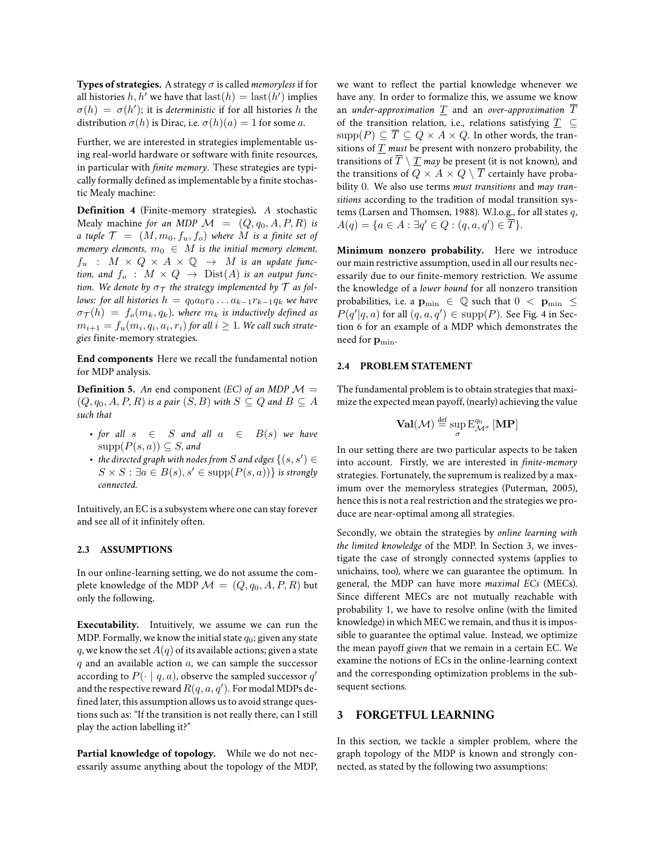**Types of strategies.** A strategy σ is called *memoryless* if for all histories  $h, h'$  we have that  $\text{last}(h) = \text{last}(h')$  implies  $\sigma(h) = \sigma(h')$ ; it is *deterministic* if for all histories h the distribution  $\sigma(h)$  is Dirac, i.e.  $\sigma(h)(a) = 1$  for some a.

Further, we are interested in strategies implementable using real-world hardware or software with finite resources, in particular with *finite memory*. These strategies are typically formally defined as implementable by a finite stochastic Mealy machine:

**Definition 4** (Finite-memory strategies)**.** *A* stochastic Mealy machine *for an MDP*  $\mathcal{M} = (Q, q_0, A, P, R)$  *is a tuple*  $\mathcal{T} = (M, m_0, f_u, f_o)$  *where* M *is a finite set of memory elements,*  $m_0 \in M$  *is the initial memory element,*  $f_u$  :  $M \times Q \times A \times Q \rightarrow M$  *is an update function, and*  $f_o$  :  $M \times Q \rightarrow \text{Dist}(A)$  *is an output function.* We denote by  $\sigma_T$  the strategy implemented by  $\mathcal T$  as fol*lows: for all histories*  $h = q_0 a_0 r_0 \dots a_{k-1} r_{k-1} q_k$  *we have*  $\sigma_T(h) = f_o(m_k, q_k)$ , where  $m_k$  is inductively defined as  $m_{i+1} = f_u(m_i, q_i, a_i, r_i)$  for all  $i \geq 1$ . We call such strate*gies* finite-memory strategies*.*

**End components** Here we recall the fundamental notion for MDP analysis.

**Definition 5.** An end component *(EC) of an MDP*  $\mathcal{M} =$  $(Q, q_0, A, P, R)$  *is a pair*  $(S, B)$  *with*  $S \subseteq Q$  *and*  $B \subseteq A$ *such that*

- *for all*  $s \in S$  *and all*  $a \in B(s)$  *we have*  $supp(P(s, a)) \subseteq S$ *, and*
- the directed graph with nodes from  $S$  and edges  $\{(s,s')\in$  $S \times S : \exists a \in B(s), s' \in \text{supp}(P(s, a))$  *is strongly connected.*

Intuitively, an EC is a subsystem where one can stay forever and see all of it infinitely often.

#### **2.3 ASSUMPTIONS**

In our online-learning setting, we do not assume the complete knowledge of the MDP  $\mathcal{M} = (Q, q_0, A, P, R)$  but only the following.

**Executability.** Intuitively, we assume we can run the MDP. Formally, we know the initial state  $q_0$ ; given any state q, we know the set  $A(q)$  of its available actions; given a state  $q$  and an available action  $a$ , we can sample the successor according to  $P(\cdot \mid q, a)$ , observe the sampled successor  $q'$ and the respective reward  $R(q,a,q^{\prime})$ . For modal MDPs defined later, this assumption allows us to avoid strange questions such as: "If the transition is not really there, can I still play the action labelling it?"

**Partial knowledge of topology.** While we do not necessarily assume anything about the topology of the MDP, we want to reflect the partial knowledge whenever we have any. In order to formalize this, we assume we know an *under-approximation* T and an *over-approximation* T of the transition relation, i.e., relations satisfying  $T \subseteq$  $\mathrm{supp}(P) \subseteq \overline{T} \subseteq Q \times A \times Q$ . In other words, the transitions of T *must* be present with nonzero probability, the transitions of  $\overline{T} \setminus T$  *may* be present (it is not known), and the transitions of  $Q \times A \times Q \setminus \overline{T}$  certainly have probability 0. We also use terms *must transitions* and *may transitions* according to the tradition of modal transition systems (Larsen and Thomsen, 1988). W.l.o.g., for all states q,  $A(q) = \{a \in A : \exists q' \in Q : (q, a, q') \in \overline{T}\}.$ 

**Minimum nonzero probability.** Here we introduce our main restrictive assumption, used in all our results necessarily due to our finite-memory restriction. We assume the knowledge of a *lower bound* for all nonzero transition probabilities, i.e. a  $\mathbf{p}_{\min} \in \mathbb{Q}$  such that  $0 < \mathbf{p}_{\min} \leq$  $P(q' | q, a)$  for all  $(q, a, q') \in \text{supp}(P)$ . See Fig. 4 in Section 6 for an example of a MDP which demonstrates the need for  $\mathbf{p}_{\min}$ .

#### **2.4 PROBLEM STATEMENT**

The fundamental problem is to obtain strategies that maximize the expected mean payoff, (nearly) achieving the value

$$
\mathbf{Val}(\mathcal{M}) \stackrel{\text{def}}{=} \sup_{\sigma} E_{\mathcal{M}^{\sigma}}^{q_0} [\mathbf{MP}]
$$

In our setting there are two particular aspects to be taken into account. Firstly, we are interested in *finite-memory* strategies. Fortunately, the supremum is realized by a maximum over the memoryless strategies (Puterman, 2005), hence this is not a real restriction and the strategies we produce are near-optimal among all strategies.

Secondly, we obtain the strategies by *online learning with the limited knowledge* of the MDP. In Section 3, we investigate the case of strongly connected systems (applies to unichains, too), where we can guarantee the optimum. In general, the MDP can have more *maximal ECs* (MECs). Since different MECs are not mutually reachable with probability 1, we have to resolve online (with the limited knowledge) in which MEC we remain, and thus it is impossible to guarantee the optimal value. Instead, we optimize the mean payoff *given* that we remain in a certain EC. We examine the notions of ECs in the online-learning context and the corresponding optimization problems in the subsequent sections.

# **3 FORGETFUL LEARNING**

In this section, we tackle a simpler problem, where the graph topology of the MDP is known and strongly connected, as stated by the following two assumptions: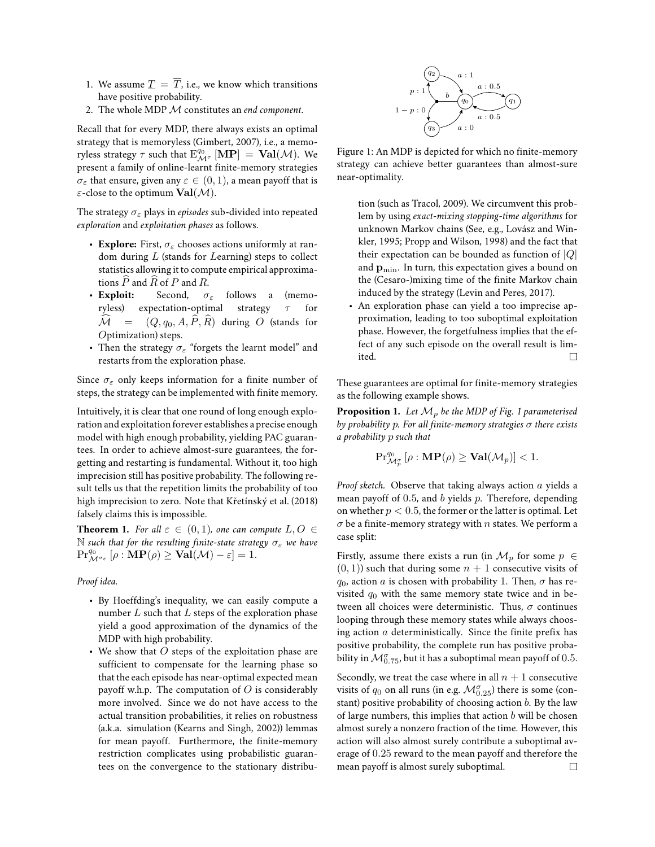- 1. We assume  $\underline{T} = \overline{T}$ , i.e., we know which transitions have positive probability.
- 2. The whole MDP M constitutes an *end component*.

Recall that for every MDP, there always exists an optimal strategy that is memoryless (Gimbert, 2007), i.e., a memoryless strategy  $\tau$  such that  $\mathrm{E}^{q_0}_{\mathcal{M}^\tau}$   $[\mathbf{MP}] = \mathbf{Val}(\mathcal{M})$ . We present a family of online-learnt finite-memory strategies  $\sigma_{\varepsilon}$  that ensure, given any  $\varepsilon \in (0,1)$ , a mean payoff that is  $\varepsilon$ -close to the optimum  $\text{Val}(\mathcal{M})$ .

The strategy σ<sup>ε</sup> plays in *episodes* sub-divided into repeated *exploration* and *exploitation phases* as follows.

- **Explore:** First,  $\sigma_{\varepsilon}$  chooses actions uniformly at random during  $L$  (stands for  $L$ earning) steps to collect statistics allowing it to compute empirical approximations  $\overline{P}$  and  $\overline{R}$  of  $P$  and  $\overline{R}$ .<br>
• **Exploit:** Second,  $\sigma$
- Second,  $\sigma_{\varepsilon}$  follows a (memoryless) expectation-optimal strategy  $\tau$  for  $\widehat{\mathcal{M}} = (Q, q_0, A, \widehat{P}, \widehat{R})$  during O (stands for Optimization) steps.
- Then the strategy  $\sigma_{\varepsilon}$  "forgets the learnt model" and restarts from the exploration phase.

Since  $\sigma_{\varepsilon}$  only keeps information for a finite number of steps, the strategy can be implemented with finite memory.

Intuitively, it is clear that one round of long enough exploration and exploitation forever establishes a precise enough model with high enough probability, yielding PAC guarantees. In order to achieve almost-sure guarantees, the forgetting and restarting is fundamental. Without it, too high imprecision still has positive probability. The following result tells us that the repetition limits the probability of too high imprecision to zero. Note that Křetínský et al. (2018) falsely claims this is impossible.

**Theorem 1.** *For all*  $\varepsilon \in (0,1)$ *, one can compute*  $L, O \in$ N such that for the resulting finite-state strategy  $\sigma_{\varepsilon}$  we have  $\Pr_{\mathcal{M}^{\sigma_{\varepsilon}}}^{\mathcal{q}_0} [\rho : \mathbf{MP}(\rho) \geq \mathbf{Val}(\mathcal{M}) - \varepsilon] = 1.$ 

#### *Proof idea.*

- By Hoeffding's inequality, we can easily compute a number  $L$  such that  $L$  steps of the exploration phase yield a good approximation of the dynamics of the MDP with high probability.
- We show that  $O$  steps of the exploitation phase are sufficient to compensate for the learning phase so that the each episode has near-optimal expected mean payoff w.h.p. The computation of  $O$  is considerably more involved. Since we do not have access to the actual transition probabilities, it relies on robustness (a.k.a. simulation (Kearns and Singh, 2002)) lemmas for mean payoff. Furthermore, the finite-memory restriction complicates using probabilistic guarantees on the convergence to the stationary distribu-



Figure 1: An MDP is depicted for which no finite-memory strategy can achieve better guarantees than almost-sure near-optimality.

tion (such as Tracol, 2009). We circumvent this problem by using *exact-mixing stopping-time algorithms* for unknown Markov chains (See, e.g., Lovász and Winkler, 1995; Propp and Wilson, 1998) and the fact that their expectation can be bounded as function of  $|Q|$ and  $\mathbf{p}_{\min}$ . In turn, this expectation gives a bound on the (Cesaro-)mixing time of the finite Markov chain induced by the strategy (Levin and Peres, 2017).

• An exploration phase can yield a too imprecise approximation, leading to too suboptimal exploitation phase. However, the forgetfulness implies that the effect of any such episode on the overall result is limited.  $\Box$ 

These guarantees are optimal for finite-memory strategies as the following example shows.

**Proposition 1.** Let  $\mathcal{M}_p$  be the MDP of Fig. 1 parameterised *by probability* p*. For all finite-memory strategies* σ *there exists a probability* p *such that*

$$
\mathrm{Pr}^{q_0}_{\mathcal{M}_p^{\sigma}}\left[\rho:\mathbf{MP}(\rho)\geq \mathbf{Val}(\mathcal{M}_p)\right]<1.
$$

*Proof sketch.* Observe that taking always action a yields a mean payoff of  $0.5$ , and  $b$  yields  $p$ . Therefore, depending on whether  $p < 0.5$ , the former or the latter is optimal. Let  $\sigma$  be a finite-memory strategy with n states. We perform a case split:

Firstly, assume there exists a run (in  $\mathcal{M}_p$  for some  $p \in$  $(0, 1)$  such that during some  $n + 1$  consecutive visits of  $q_0$ , action a is chosen with probability 1. Then,  $\sigma$  has revisited  $q_0$  with the same memory state twice and in between all choices were deterministic. Thus,  $\sigma$  continues looping through these memory states while always choosing action  $a$  deterministically. Since the finite prefix has positive probability, the complete run has positive probability in  $\mathcal{M}_{0.75}^{\sigma}$ , but it has a suboptimal mean payoff of 0.5.

Secondly, we treat the case where in all  $n + 1$  consecutive visits of  $q_0$  on all runs (in e.g.  $\mathcal{M}_{0.25}^{\sigma}$ ) there is some (constant) positive probability of choosing action  $b$ . By the law of large numbers, this implies that action  $b$  will be chosen almost surely a nonzero fraction of the time. However, this action will also almost surely contribute a suboptimal average of 0.25 reward to the mean payoff and therefore the mean payoff is almost surely suboptimal. $\Box$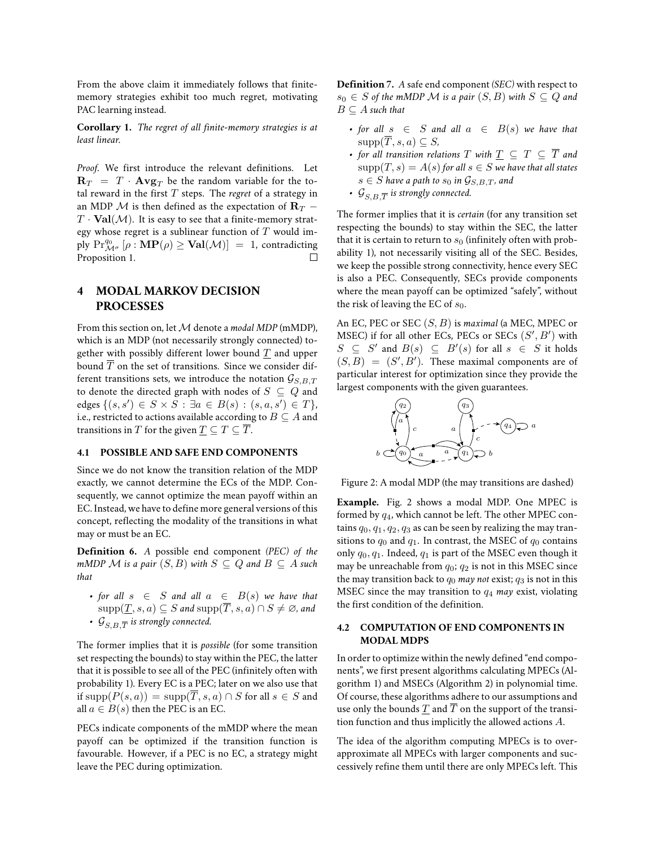From the above claim it immediately follows that finitememory strategies exhibit too much regret, motivating PAC learning instead.

**Corollary 1.** *The regret of all finite-memory strategies is at least linear.*

*Proof.* We first introduce the relevant definitions. Let  ${\bf R}_T \,\,=\,\, T \,\cdot \, {\bf Avg}_T$  be the random variable for the total reward in the first T steps. The *regret* of a strategy in an MDP  $\mathcal M$  is then defined as the expectation of  $\mathbf{R}_T$  –  $T \cdot \text{Val}(\mathcal{M})$ . It is easy to see that a finite-memory strategy whose regret is a sublinear function of  $T$  would imply  $\Pr_{\mathcal{M}^{\sigma}}^{q_0}[\rho : \mathbf{MP}(\rho) \geq \mathbf{Val}(\mathcal{M})] = 1$ , contradicting Proposition 1.  $\Box$ 

# **4 MODAL MARKOV DECISION PROCESSES**

From this section on, let M denote a *modal MDP* (mMDP), which is an MDP (not necessarily strongly connected) together with possibly different lower bound  $\underline{T}$  and upper bound  $\overline{T}$  on the set of transitions. Since we consider different transitions sets, we introduce the notation  $\mathcal{G}_{S,B,T}$ to denote the directed graph with nodes of  $S \subseteq Q$  and edges {(s, s') ∈ S × S : ∃a ∈ B(s) : (s, a, s') ∈ T}, i.e., restricted to actions available according to  $B \subseteq A$  and transitions in T for the given  $T \subseteq T \subseteq \overline{T}$ .

#### **4.1 POSSIBLE AND SAFE END COMPONENTS**

Since we do not know the transition relation of the MDP exactly, we cannot determine the ECs of the MDP. Consequently, we cannot optimize the mean payoff within an EC. Instead, we have to define more general versions of this concept, reflecting the modality of the transitions in what may or must be an EC.

**Definition 6.** *A* possible end component *(PEC) of the mMDP*  $\mathcal M$  *is a pair*  $(S, B)$  *with*  $S \subseteq Q$  *and*  $B \subseteq A$  *such that*

• *for all*  $s \in S$  *and all*  $a \in B(s)$  *we have that*  $\text{supp}(\underline{T}, s, a) \subseteq S$  *and*  $\text{supp}(\overline{T}, s, a) \cap S \neq \emptyset$ *, and* •  $\ {\cal G}_{S,B,\overline{T}}$  is strongly connected.

The former implies that it is *possible* (for some transition set respecting the bounds) to stay within the PEC, the latter that it is possible to see all of the PEC (infinitely often with probability 1). Every EC is a PEC; later on we also use that if  $\text{supp}(P(s, a)) = \text{supp}(\overline{T}, s, a) \cap S$  for all  $s \in S$  and all  $a \in B(s)$  then the PEC is an EC.

PECs indicate components of the mMDP where the mean payoff can be optimized if the transition function is favourable. However, if a PEC is no EC, a strategy might leave the PEC during optimization.

**Definition 7.** *A* safe end component *(SEC)* with respect to  $s_0 \in S$  *of the mMDP M is a pair*  $(S, B)$  *with*  $S \subseteq Q$  *and*  $B \subseteq A$  *such that* 

- *for all*  $s \in S$  *and all*  $a \in B(s)$  *we have that*  $supp(\overline{T}, s, a) \subseteq S$ ,
- *for all transition relations*  $T$  *with*  $T \subseteq T \subseteq \overline{T}$  *and*  $\text{supp}(T, s) = A(s)$  for all  $s \in S$  we have that all states  $s \in S$  *have a path to*  $s_0$  *in*  $\mathcal{G}_{S,B,T}$ *, and*
- $\mathcal{G}_{S,B,\overline{T}}$  is strongly connected.

The former implies that it is *certain* (for any transition set respecting the bounds) to stay within the SEC, the latter that it is certain to return to  $s_0$  (infinitely often with probability 1), not necessarily visiting all of the SEC. Besides, we keep the possible strong connectivity, hence every SEC is also a PEC. Consequently, SECs provide components where the mean payoff can be optimized "safely", without the risk of leaving the EC of  $s_0$ .

An EC, PEC or SEC (S, B) is *maximal* (a MEC, MPEC or MSEC) if for all other ECs, PECs or SECs  $(S', B')$  with  $S \subseteq S'$  and  $B(s) \subseteq B'(s)$  for all  $s \in S$  it holds  $(S, B) = (S', B')$ . These maximal components are of particular interest for optimization since they provide the largest components with the given guarantees.



Figure 2: A modal MDP (the may transitions are dashed)

**Example.** Fig. 2 shows a modal MDP. One MPEC is formed by  $q_4$ , which cannot be left. The other MPEC contains  $q_0, q_1, q_2, q_3$  as can be seen by realizing the may transitions to  $q_0$  and  $q_1$ . In contrast, the MSEC of  $q_0$  contains only  $q_0, q_1$ . Indeed,  $q_1$  is part of the MSEC even though it may be unreachable from  $q_0$ ;  $q_2$  is not in this MSEC since the may transition back to  $q_0$  *may not* exist;  $q_3$  is not in this MSEC since the may transition to q<sup>4</sup> *may* exist, violating the first condition of the definition.

#### **4.2 COMPUTATION OF END COMPONENTS IN MODAL MDPS**

In order to optimize within the newly defined "end components", we first present algorithms calculating MPECs (Algorithm 1) and MSECs (Algorithm 2) in polynomial time. Of course, these algorithms adhere to our assumptions and use only the bounds T and  $\overline{T}$  on the support of the transition function and thus implicitly the allowed actions A.

The idea of the algorithm computing MPECs is to overapproximate all MPECs with larger components and successively refine them until there are only MPECs left. This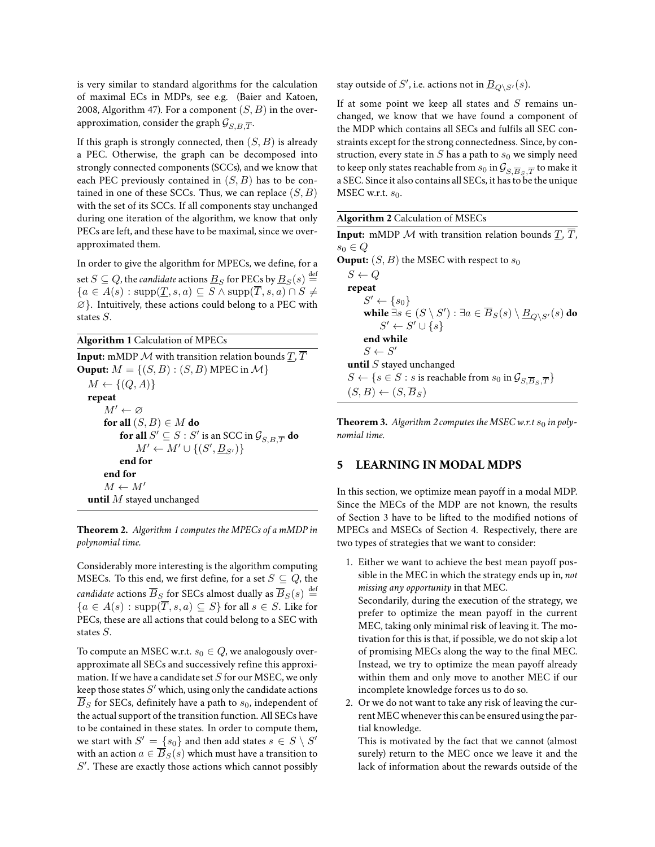is very similar to standard algorithms for the calculation of maximal ECs in MDPs, see e.g. (Baier and Katoen, 2008, Algorithm 47). For a component  $(S, B)$  in the overapproximation, consider the graph  $\mathcal{G}_{S,B,\overline{T}}.$ 

If this graph is strongly connected, then  $(S, B)$  is already a PEC. Otherwise, the graph can be decomposed into strongly connected components (SCCs), and we know that each PEC previously contained in  $(S, B)$  has to be contained in one of these SCCs. Thus, we can replace  $(S, B)$ with the set of its SCCs. If all components stay unchanged during one iteration of the algorithm, we know that only PECs are left, and these have to be maximal, since we overapproximated them.

In order to give the algorithm for MPECs, we define, for a set  $S \subseteq Q$ , the *candidate* actions  $\underline{B}_S$  for PECs by  $\underline{B}_S(s) \stackrel{\text{def}}{=}$  ${a \in A(s) : \text{supp}(\underline{T}, s, a) \subseteq S \land \text{supp}(\overline{T}, s, a) \cap S}$ ∅}. Intuitively, these actions could belong to a PEC with states S.

| <b>Algorithm 1</b> Calculation of MPECs                                                 |
|-----------------------------------------------------------------------------------------|
| <b>Input:</b> mMDP $M$ with transition relation bounds $T, T$                           |
| <b>Ouput:</b> $M = \{(S, B) : (S, B) \text{ MPEC in } \mathcal{M}\}\$                   |
| $M \leftarrow \{(Q, A)\}\$                                                              |
| repeat                                                                                  |
| $M' \leftarrow \varnothing$                                                             |
| for all $(S, B) \in M$ do                                                               |
| <b>for all</b> $S' \subseteq S : S'$ is an SCC in $\mathcal{G}_{S, B} \neq \mathbf{do}$ |
| $M' \leftarrow M' \cup \{(S', B_{S'})\}$                                                |
| end for                                                                                 |
| end for                                                                                 |
| $M \leftarrow M'$                                                                       |
| <b>until</b> $M$ stayed unchanged                                                       |

**Theorem 2.** *Algorithm 1 computes the MPECs of a mMDP in polynomial time.*

Considerably more interesting is the algorithm computing MSECs. To this end, we first define, for a set  $S \subseteq Q$ , the *candidate* actions  $\overline{B}_S$  for SECs almost dually as  $\overline{B}_S(s) \stackrel{\text{def}}{=}$  ${a \in A(s) : \text{supp}(\overline{T}, s, a) \subseteq S}$  for all  $s \in S$ . Like for PECs, these are all actions that could belong to a SEC with states S.

To compute an MSEC w.r.t.  $s_0 \in Q$ , we analogously overapproximate all SECs and successively refine this approximation. If we have a candidate set  $S$  for our MSEC, we only keep those states  $S'$  which, using only the candidate actions  $B<sub>S</sub>$  for SECs, definitely have a path to  $s<sub>0</sub>$ , independent of the actual support of the transition function. All SECs have to be contained in these states. In order to compute them, we start with  $S' = \{s_0\}$  and then add states  $s \in S \setminus S'$ with an action  $a \in \overline{B}_S(s)$  which must have a transition to  $S'$ . These are exactly those actions which cannot possibly

stay outside of  $S'$ , i.e. actions not in  $\underline{B}_{Q\setminus S'}(s).$ 

If at some point we keep all states and  $S$  remains unchanged, we know that we have found a component of the MDP which contains all SECs and fulfils all SEC constraints except for the strong connectedness. Since, by construction, every state in S has a path to  $s_0$  we simply need to keep only states reachable from  $s_0$  in  $\mathcal{G}_{S,\overline{B}_S,\overline{T}}$  to make it a SEC. Since it also contains all SECs, it has to be the unique MSEC w.r.t.  $s_0$ .

**Theorem 3.** Algorithm 2 computes the MSEC w.r.t  $s_0$  in poly*nomial time.*

# **5 LEARNING IN MODAL MDPS**

In this section, we optimize mean payoff in a modal MDP. Since the MECs of the MDP are not known, the results of Section 3 have to be lifted to the modified notions of MPECs and MSECs of Section 4. Respectively, there are two types of strategies that we want to consider:

1. Either we want to achieve the best mean payoff possible in the MEC in which the strategy ends up in, *not missing any opportunity* in that MEC.

Secondarily, during the execution of the strategy, we prefer to optimize the mean payoff in the current MEC, taking only minimal risk of leaving it. The motivation for this is that, if possible, we do not skip a lot of promising MECs along the way to the final MEC. Instead, we try to optimize the mean payoff already within them and only move to another MEC if our incomplete knowledge forces us to do so.

2. Or we do not want to take any risk of leaving the current MEC whenever this can be ensured using the partial knowledge.

This is motivated by the fact that we cannot (almost surely) return to the MEC once we leave it and the lack of information about the rewards outside of the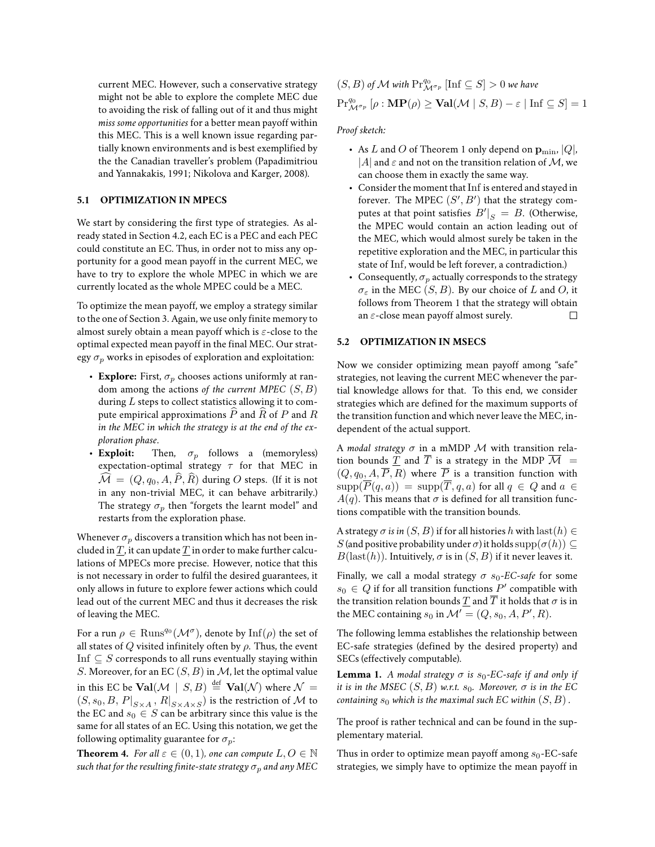current MEC. However, such a conservative strategy might not be able to explore the complete MEC due to avoiding the risk of falling out of it and thus might *miss some opportunities* for a better mean payoff within this MEC. This is a well known issue regarding partially known environments and is best exemplified by the the Canadian traveller's problem (Papadimitriou and Yannakakis, 1991; Nikolova and Karger, 2008).

# **5.1 OPTIMIZATION IN MPECS**

We start by considering the first type of strategies. As already stated in Section 4.2, each EC is a PEC and each PEC could constitute an EC. Thus, in order not to miss any opportunity for a good mean payoff in the current MEC, we have to try to explore the whole MPEC in which we are currently located as the whole MPEC could be a MEC.

To optimize the mean payoff, we employ a strategy similar to the one of Section 3. Again, we use only finite memory to almost surely obtain a mean payoff which is  $\varepsilon$ -close to the optimal expected mean payoff in the final MEC. Our strategy  $\sigma_p$  works in episodes of exploration and exploitation:

- **Explore:** First,  $\sigma_p$  chooses actions uniformly at random among the actions *of the current MPEC* (S, B) during  $L$  steps to collect statistics allowing it to compute empirical approximations  $\overline{P}$  and  $\overline{R}$  of P and  $\overline{R}$ *in the MEC in which the strategy is at the end of the exploration phase*.
- **Exploit:** Then,  $\sigma_p$  follows a (memoryless) expectation-optimal strategy  $\tau$  for that MEC in  $\widehat{\mathcal{M}} = (Q, q_0, A, \widehat{P}, \widehat{R})$  during O steps. (If it is not in any non-trivial MEC, it can behave arbitrarily.) The strategy  $\sigma_p$  then "forgets the learnt model" and restarts from the exploration phase.

Whenever  $\sigma_p$  discovers a transition which has not been included in  $T$ , it can update  $T$  in order to make further calculations of MPECs more precise. However, notice that this is not necessary in order to fulfil the desired guarantees, it only allows in future to explore fewer actions which could lead out of the current MEC and thus it decreases the risk of leaving the MEC.

For a run  $\rho \in \mathrm{Runs}^{q_0}(\mathcal{M}^\sigma)$ , denote by  $\mathrm{Inf}(\rho)$  the set of all states of  $Q$  visited infinitely often by  $\rho$ . Thus, the event Inf  $\subseteq$  S corresponds to all runs eventually staying within S. Moreover, for an EC  $(S, B)$  in M, let the optimal value in this EC be  $\mathbf{Val}(\mathcal{M} \mid S, B) \stackrel{\text{def}}{=} \mathbf{Val}(\mathcal{N})$  where  $\mathcal{N} =$  $\left.(S,s_0,B,P|_{S\times A}\,,\,R|_{S\times A\times S}\right)$  is the restriction of  ${\cal M}$  to the EC and  $s_0 \in S$  can be arbitrary since this value is the same for all states of an EC. Using this notation, we get the following optimality guarantee for  $\sigma_n$ :

**Theorem 4.** *For all*  $\varepsilon \in (0,1)$ *, one can compute*  $L, O \in \mathbb{N}$ *such that for the resulting finite-state strategy*  $\sigma_p$  *and any MEC* 

$$
(S, B) \text{ of } \mathcal{M} \text{ with } \text{Pr}^{q_0}_{\mathcal{M}^{\sigma_p}} \left[ \text{Inf } \subseteq S \right] > 0 \text{ we have}
$$

$$
\text{Pr}^{q_0}_{\mathcal{M}^{\sigma_p}} \left[ \rho : \mathbf{MP}(\rho) \ge \mathbf{Val}(\mathcal{M} \mid S, B) - \varepsilon \mid \text{Inf } \subseteq S \right] = 1
$$

#### *Proof sketch:*

- As L and O of Theorem 1 only depend on  $\mathbf{p}_{\min}$ , |Q|, |A| and  $\varepsilon$  and not on the transition relation of M, we can choose them in exactly the same way.
- Consider the moment that Inf is entered and stayed in forever. The MPEC  $(S', B')$  that the strategy computes at that point satisfies  $B'|_S = B$ . (Otherwise, the MPEC would contain an action leading out of the MEC, which would almost surely be taken in the repetitive exploration and the MEC, in particular this state of Inf, would be left forever, a contradiction.)
- Consequently,  $\sigma_p$  actually corresponds to the strategy  $\sigma_{\varepsilon}$  in the MEC  $(S, B)$ . By our choice of L and O, it follows from Theorem 1 that the strategy will obtain an  $\varepsilon$ -close mean payoff almost surely. П

#### **5.2 OPTIMIZATION IN MSECS**

Now we consider optimizing mean payoff among "safe" strategies, not leaving the current MEC whenever the partial knowledge allows for that. To this end, we consider strategies which are defined for the maximum supports of the transition function and which never leave the MEC, independent of the actual support.

A *modal strategy*  $\sigma$  in a mMDP  $\mathcal M$  with transition relation bounds  $\underline{T}$  and  $\overline{T}$  is a strategy in the MDP  $\overline{M}$  =  $(Q, q_0, A, \overline{P}, R)$  where  $\overline{P}$  is a transition function with  $\text{supp}(\overline{P}(q, a)) = \text{supp}(\overline{T}, q, a)$  for all  $q \in Q$  and  $a \in$  $A(q)$ . This means that  $\sigma$  is defined for all transition functions compatible with the transition bounds.

A strategy  $\sigma$  *is in*  $(S, B)$  if for all histories h with last $(h) \in$ S (and positive probability under  $\sigma$ ) it holds  $supp(\sigma(h)) \subseteq$  $B(\text{last}(h))$ . Intuitively,  $\sigma$  is in  $(S, B)$  if it never leaves it.

Finally, we call a modal strategy  $\sigma s_0$ -EC-safe for some  $s_0 \in Q$  if for all transition functions  $P'$  compatible with the transition relation bounds  $\underline{T}$  and  $\overline{T}$  it holds that  $\sigma$  is in the MEC containing  $s_0$  in  $\mathcal{M}' = (Q, s_0, A, P', R)$ .

The following lemma establishes the relationship between EC-safe strategies (defined by the desired property) and SECs (effectively computable).

**Lemma 1.** *A modal strategy*  $\sigma$  *is*  $s_0$ -EC-safe if and only if *it is in the MSEC*  $(S, B)$  *w.r.t.*  $s_0$ *. Moreover,*  $\sigma$  *is in the EC containing*  $s_0$  *which is the maximal such EC within*  $(S, B)$ .

The proof is rather technical and can be found in the supplementary material.

Thus in order to optimize mean payoff among  $s_0$ -EC-safe strategies, we simply have to optimize the mean payoff in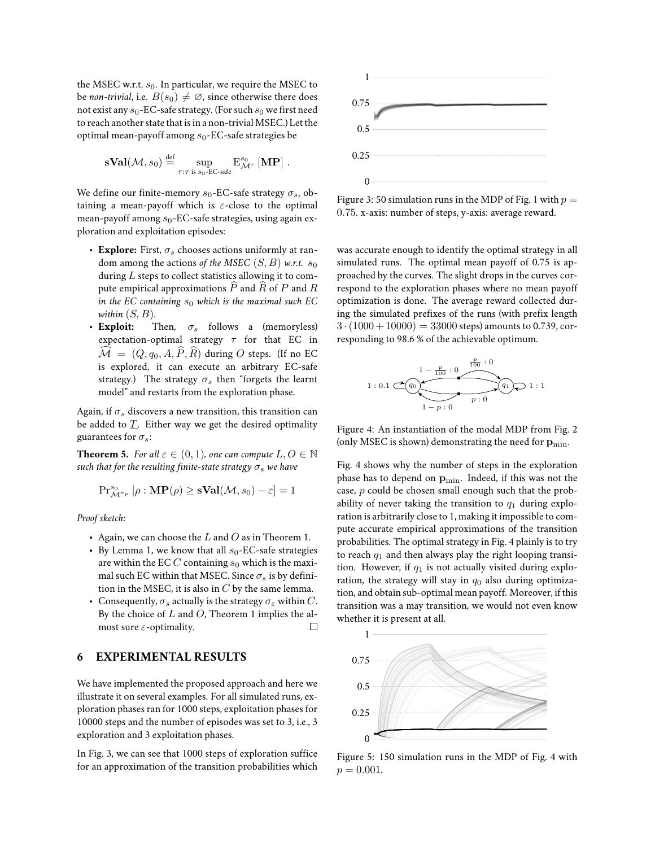the MSEC w.r.t.  $s_0$ . In particular, we require the MSEC to be *non-trivial*, i.e.  $B(s_0) \neq \emptyset$ , since otherwise there does not exist any  $s_0$ -EC-safe strategy. (For such  $s_0$  we first need to reach another state that is in a non-trivial MSEC.) Let the optimal mean-payoff among  $s_0$ -EC-safe strategies be

$$
\mathbf{sVal}(\mathcal{M}, s_0) \stackrel{\text{def}}{=} \sup_{\tau: \tau \text{ is } s_0\text{-EC-safe}} E^{s_0}_{\mathcal{M}^{\tau}} [\mathbf{MP}] .
$$

We define our finite-memory  $s_0$ -EC-safe strategy  $\sigma_s$ , obtaining a mean-payoff which is  $\varepsilon$ -close to the optimal mean-payoff among  $s_0$ -EC-safe strategies, using again exploration and exploitation episodes:

- **Explore:** First,  $\sigma_s$  chooses actions uniformly at random among the actions *of the MSEC*  $(S, B)$  *w.r.t.*  $s_0$ during  $L$  steps to collect statistics allowing it to compute empirical approximations  $\widehat{P}$  and  $\widehat{R}$  of P and  $R$ *in the EC containing*  $s_0$  *which is the maximal such EC* within  $(S, B)$ .
- **Exploit:** Then,  $\sigma_s$  follows a (memoryless) expectation-optimal strategy  $\tau$  for that EC in  $\widehat{\mathcal{M}} = (Q, q_0, A, \widehat{P}, \widehat{R})$  during O steps. (If no EC is explored, it can execute an arbitrary EC-safe strategy.) The strategy  $\sigma_s$  then "forgets the learnt model" and restarts from the exploration phase.

Again, if  $\sigma_s$  discovers a new transition, this transition can be added to  $\underline{T}$ . Either way we get the desired optimality guarantees for  $\sigma_s$ :

**Theorem 5.** *For all*  $\varepsilon \in (0,1)$ *, one can compute*  $L, O \in \mathbb{N}$ *such that for the resulting finite-state strategy*  $\sigma_s$  *we have* 

$$
\mathrm{Pr}^{s_0}_{\mathcal{M}^{\sigma_p}}\left[\rho:\mathbf{MP}(\rho)\geq \mathbf{sVal}(\mathcal{M},s_0)-\varepsilon\right]=1
$$

*Proof sketch:*

- Again, we can choose the  $L$  and  $O$  as in Theorem 1.
- By Lemma 1, we know that all  $s_0$ -EC-safe strategies are within the EC  $C$  containing  $s_0$  which is the maximal such EC within that MSEC. Since  $\sigma_s$  is by definition in the MSEC, it is also in  $C$  by the same lemma.
- Consequently,  $\sigma_s$  actually is the strategy  $\sigma_s$  within C. By the choice of  $L$  and  $O$ , Theorem 1 implies the al- $\Box$ most sure  $\varepsilon$ -optimality.

#### **6 EXPERIMENTAL RESULTS**

We have implemented the proposed approach and here we illustrate it on several examples. For all simulated runs, exploration phases ran for 1000 steps, exploitation phases for 10000 steps and the number of episodes was set to 3, i.e., 3 exploration and 3 exploitation phases.

In Fig. 3, we can see that 1000 steps of exploration suffice for an approximation of the transition probabilities which



Figure 3: 50 simulation runs in the MDP of Fig. 1 with  $p =$ 0.75. x-axis: number of steps, y-axis: average reward.

was accurate enough to identify the optimal strategy in all simulated runs. The optimal mean payoff of 0.75 is approached by the curves. The slight drops in the curves correspond to the exploration phases where no mean payoff optimization is done. The average reward collected during the simulated prefixes of the runs (with prefix length  $3 \cdot (1000 + 10000) = 33000$  steps) amounts to 0.739, corresponding to 98.6 % of the achievable optimum.



Figure 4: An instantiation of the modal MDP from Fig. 2 (only MSEC is shown) demonstrating the need for  $\mathbf{p}_{\min}$ .

Fig. 4 shows why the number of steps in the exploration phase has to depend on  $\mathbf{p}_{\min}$ . Indeed, if this was not the case, p could be chosen small enough such that the probability of never taking the transition to  $q_1$  during exploration is arbitrarily close to 1, making it impossible to compute accurate empirical approximations of the transition probabilities. The optimal strategy in Fig. 4 plainly is to try to reach  $q_1$  and then always play the right looping transition. However, if  $q_1$  is not actually visited during exploration, the strategy will stay in  $q_0$  also during optimization, and obtain sub-optimal mean payoff. Moreover, if this transition was a may transition, we would not even know whether it is present at all.



Figure 5: 150 simulation runs in the MDP of Fig. 4 with  $p = 0.001$ .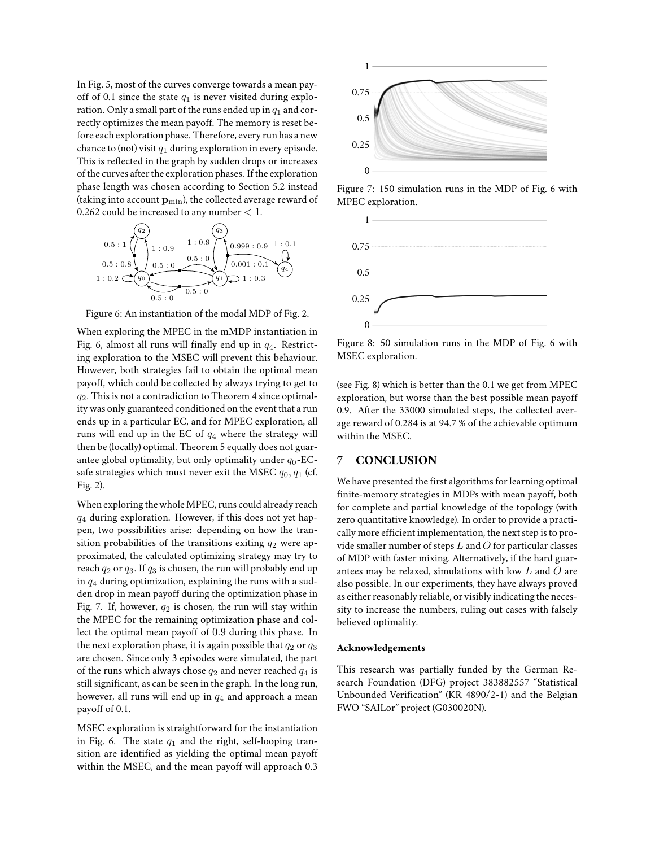In Fig. 5, most of the curves converge towards a mean payoff of 0.1 since the state  $q_1$  is never visited during exploration. Only a small part of the runs ended up in  $q_1$  and correctly optimizes the mean payoff. The memory is reset before each exploration phase. Therefore, every run has a new chance to (not) visit  $q_1$  during exploration in every episode. This is reflected in the graph by sudden drops or increases of the curves after the exploration phases. If the exploration phase length was chosen according to Section 5.2 instead (taking into account  $\mathbf{p}_{\min}$ ), the collected average reward of 0.262 could be increased to any number  $< 1$ .



Figure 6: An instantiation of the modal MDP of Fig. 2.

When exploring the MPEC in the mMDP instantiation in Fig. 6, almost all runs will finally end up in  $q_4$ . Restricting exploration to the MSEC will prevent this behaviour. However, both strategies fail to obtain the optimal mean payoff, which could be collected by always trying to get to  $q_2$ . This is not a contradiction to Theorem 4 since optimality was only guaranteed conditioned on the event that a run ends up in a particular EC, and for MPEC exploration, all runs will end up in the EC of  $q_4$  where the strategy will then be (locally) optimal. Theorem 5 equally does not guarantee global optimality, but only optimality under  $q_0$ -ECsafe strategies which must never exit the MSEC  $q_0, q_1$  (cf. Fig. 2).

When exploring the whole MPEC, runs could already reach  $q_4$  during exploration. However, if this does not yet happen, two possibilities arise: depending on how the transition probabilities of the transitions exiting  $q_2$  were approximated, the calculated optimizing strategy may try to reach  $q_2$  or  $q_3$ . If  $q_3$  is chosen, the run will probably end up in  $q_4$  during optimization, explaining the runs with a sudden drop in mean payoff during the optimization phase in Fig. 7. If, however,  $q_2$  is chosen, the run will stay within the MPEC for the remaining optimization phase and collect the optimal mean payoff of 0.9 during this phase. In the next exploration phase, it is again possible that  $q_2$  or  $q_3$ are chosen. Since only 3 episodes were simulated, the part of the runs which always chose  $q_2$  and never reached  $q_4$  is still significant, as can be seen in the graph. In the long run, however, all runs will end up in  $q_4$  and approach a mean payoff of 0.1.

MSEC exploration is straightforward for the instantiation in Fig. 6. The state  $q_1$  and the right, self-looping transition are identified as yielding the optimal mean payoff within the MSEC, and the mean payoff will approach 0.3



Figure 7: 150 simulation runs in the MDP of Fig. 6 with MPEC exploration.



Figure 8: 50 simulation runs in the MDP of Fig. 6 with MSEC exploration.

(see Fig. 8) which is better than the 0.1 we get from MPEC exploration, but worse than the best possible mean payoff 0.9. After the 33000 simulated steps, the collected average reward of 0.284 is at 94.7 % of the achievable optimum within the MSEC.

# **7 CONCLUSION**

We have presented the first algorithms for learning optimal finite-memory strategies in MDPs with mean payoff, both for complete and partial knowledge of the topology (with zero quantitative knowledge). In order to provide a practically more efficient implementation, the next step is to provide smaller number of steps  $L$  and  $O$  for particular classes of MDP with faster mixing. Alternatively, if the hard guarantees may be relaxed, simulations with low  $L$  and  $O$  are also possible. In our experiments, they have always proved as either reasonably reliable, or visibly indicating the necessity to increase the numbers, ruling out cases with falsely believed optimality.

#### **Acknowledgements**

This research was partially funded by the German Research Foundation (DFG) project 383882557 "Statistical Unbounded Verification" (KR 4890/2-1) and the Belgian FWO "SAILor" project (G030020N).